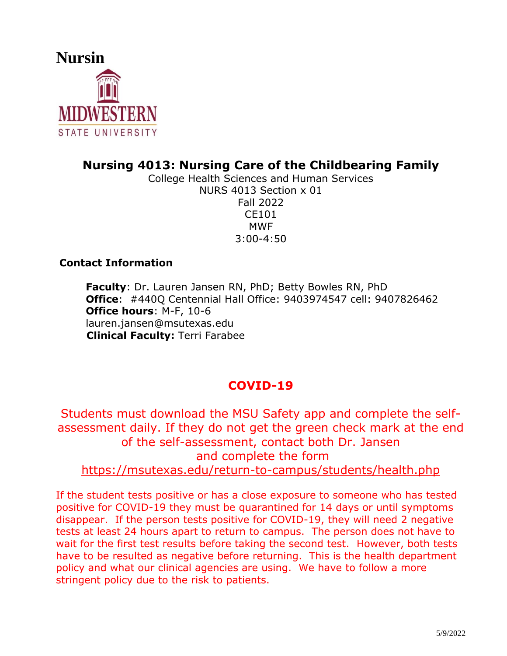

## **Nursing 4013: Nursing Care of the Childbearing Family**

College Health Sciences and Human Services NURS 4013 Section x 01 Fall 2022 CE101 MWF 3:00-4:50

## **Contact Information**

**Faculty**: Dr. Lauren Jansen RN, PhD; Betty Bowles RN, PhD **Office**: #440Q Centennial Hall Office: 9403974547 cell: 9407826462 **Office hours**: M-F, 10-6 lauren.jansen@msutexas.edu  **Clinical Faculty:** Terri Farabee

# **COVID-19**

Students must download the MSU Safety app and complete the selfassessment daily. If they do not get the green check mark at the end of the self-assessment, contact both Dr. Jansen and complete the form <https://msutexas.edu/return-to-campus/students/health.php>

If the student tests positive or has a close exposure to someone who has tested positive for COVID-19 they must be quarantined for 14 days or until symptoms disappear. If the person tests positive for COVID-19, they will need 2 negative tests at least 24 hours apart to return to campus. The person does not have to wait for the first test results before taking the second test. However, both tests have to be resulted as negative before returning. This is the health department policy and what our clinical agencies are using. We have to follow a more stringent policy due to the risk to patients.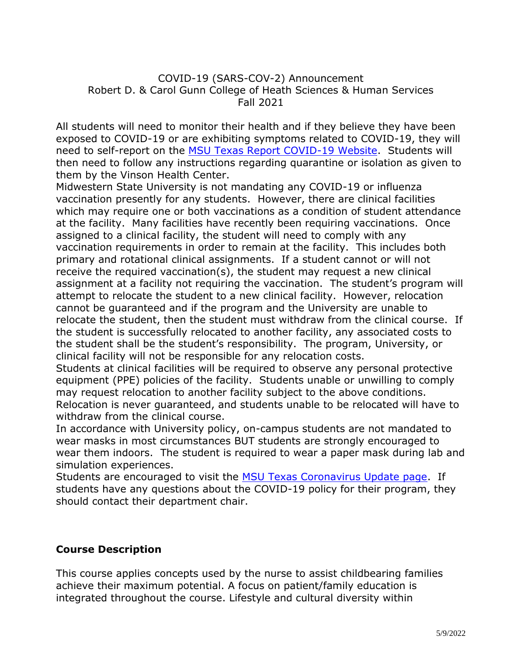#### COVID-19 (SARS-COV-2) Announcement Robert D. & Carol Gunn College of Heath Sciences & Human Services Fall 2021

All students will need to monitor their health and if they believe they have been exposed to COVID-19 or are exhibiting symptoms related to COVID-19, they will need to self-report on the [MSU Texas Report COVID-19 Website.](https://msutexas.edu/coronavirus/report-covid-19.php) Students will then need to follow any instructions regarding quarantine or isolation as given to them by the Vinson Health Center.

Midwestern State University is not mandating any COVID-19 or influenza vaccination presently for any students. However, there are clinical facilities which may require one or both vaccinations as a condition of student attendance at the facility. Many facilities have recently been requiring vaccinations. Once assigned to a clinical facility, the student will need to comply with any vaccination requirements in order to remain at the facility. This includes both primary and rotational clinical assignments. If a student cannot or will not receive the required vaccination(s), the student may request a new clinical assignment at a facility not requiring the vaccination. The student's program will attempt to relocate the student to a new clinical facility. However, relocation cannot be guaranteed and if the program and the University are unable to relocate the student, then the student must withdraw from the clinical course. If the student is successfully relocated to another facility, any associated costs to the student shall be the student's responsibility. The program, University, or clinical facility will not be responsible for any relocation costs.

Students at clinical facilities will be required to observe any personal protective equipment (PPE) policies of the facility. Students unable or unwilling to comply may request relocation to another facility subject to the above conditions. Relocation is never guaranteed, and students unable to be relocated will have to withdraw from the clinical course.

In accordance with University policy, on-campus students are not mandated to wear masks in most circumstances BUT students are strongly encouraged to wear them indoors. The student is required to wear a paper mask during lab and simulation experiences.

Students are encouraged to visit the [MSU Texas Coronavirus Update page.](https://msutexas.edu/coronavirus/index.php) If students have any questions about the COVID-19 policy for their program, they should contact their department chair.

#### **Course Description**

This course applies concepts used by the nurse to assist childbearing families achieve their maximum potential. A focus on patient/family education is integrated throughout the course. Lifestyle and cultural diversity within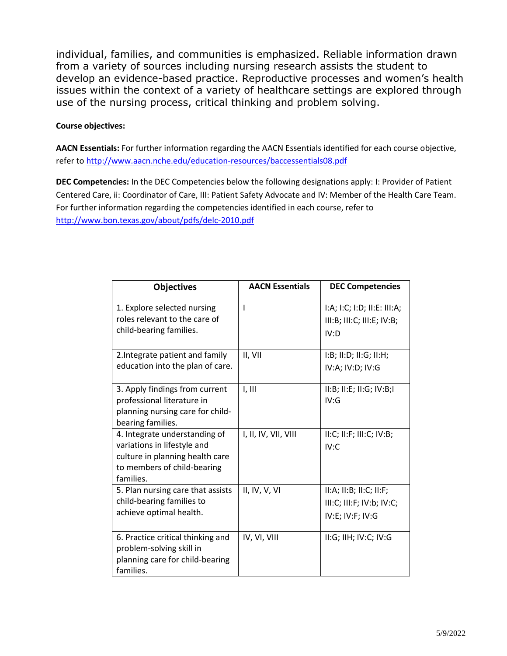individual, families, and communities is emphasized. Reliable information drawn from a variety of sources including nursing research assists the student to develop an evidence-based practice. Reproductive processes and women's health issues within the context of a variety of healthcare settings are explored through use of the nursing process, critical thinking and problem solving.

#### **Course objectives:**

**AACN Essentials:** For further information regarding the AACN Essentials identified for each course objective, refer to<http://www.aacn.nche.edu/education-resources/baccessentials08.pdf>

**DEC Competencies:** In the DEC Competencies below the following designations apply: I: Provider of Patient Centered Care, ii: Coordinator of Care, III: Patient Safety Advocate and IV: Member of the Health Care Team. For further information regarding the competencies identified in each course, refer to <http://www.bon.texas.gov/about/pdfs/delc-2010.pdf>

| <b>AACN Essentials</b> | <b>DEC Competencies</b>                                   |
|------------------------|-----------------------------------------------------------|
| I                      | I:A; I:C; I:D; II:E: III:A;<br>III:B; III:C; III:E; IV:B; |
|                        | IV:D                                                      |
| II, VII                | I:B; II:D; II:G; II:H;                                    |
|                        | IV:A; IV:D; IV:G                                          |
| I, III                 | II:B; II:E; II:G; IV:B; I<br>IV:G                         |
|                        |                                                           |
|                        |                                                           |
| I, II, IV, VII, VIII   | II:C; II:F; III:C; IV:B;                                  |
|                        | IV:C                                                      |
|                        |                                                           |
|                        |                                                           |
| II, IV, V, VI          | II:A; II:B; II:C; II:F;                                   |
|                        | III:C; III:F; IV:b; IV:C;                                 |
|                        | IV:E; IV:F; IV:G                                          |
| IV, VI, VIII           | II:G; IIH; IV:C; IV:G                                     |
|                        |                                                           |
|                        |                                                           |
|                        |                                                           |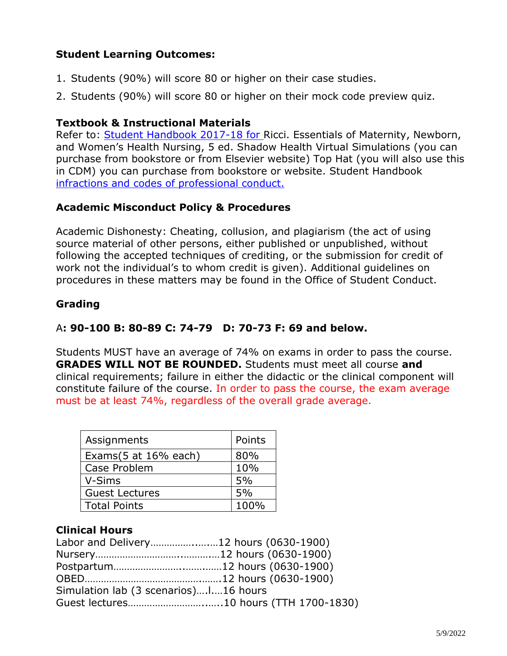## **Student Learning Outcomes:**

- 1. Students (90%) will score 80 or higher on their case studies.
- 2. Students (90%) will score 80 or higher on their mock code preview quiz.

## **Textbook & Instructional Materials**

Refer to: [Student Handbook 2017-18](https://mwsu.edu/Assets/documents/student-life/student-handbook-2017-18.pdf) for Ricci. Essentials of Maternity, Newborn, and Women's Health Nursing, 5 ed. Shadow Health Virtual Simulations (you can purchase from bookstore or from Elsevier website) Top Hat (you will also use this in CDM) you can purchase from bookstore or website. Student Handbook infractions and codes of professional conduct.

## **Academic Misconduct Policy & Procedures**

Academic Dishonesty: Cheating, collusion, and plagiarism (the act of using source material of other persons, either published or unpublished, without following the accepted techniques of crediting, or the submission for credit of work not the individual's to whom credit is given). Additional guidelines on procedures in these matters may be found in the Office of Student Conduct.

## **Grading**

## A**: 90-100 B: 80-89 C: 74-79 D: 70-73 F: 69 and below.**

Students MUST have an average of 74% on exams in order to pass the course. **GRADES WILL NOT BE ROUNDED.** Students must meet all course **and**  clinical requirements; failure in either the didactic or the clinical component will constitute failure of the course. In order to pass the course, the exam average must be at least 74%, regardless of the overall grade average.

| Assignments           | Points |
|-----------------------|--------|
| Exams(5 at 16% each)  | 80%    |
| Case Problem          | 10%    |
| V-Sims                | 5%     |
| <b>Guest Lectures</b> | 5%     |
| <b>Total Points</b>   | 100%   |

## **Clinical Hours**

| Labor and Delivery12 hours (0630-1900) |  |
|----------------------------------------|--|
|                                        |  |
|                                        |  |
|                                        |  |
| Simulation lab (3 scenarios)16 hours   |  |
| Guest lectures10 hours (TTH 1700-1830) |  |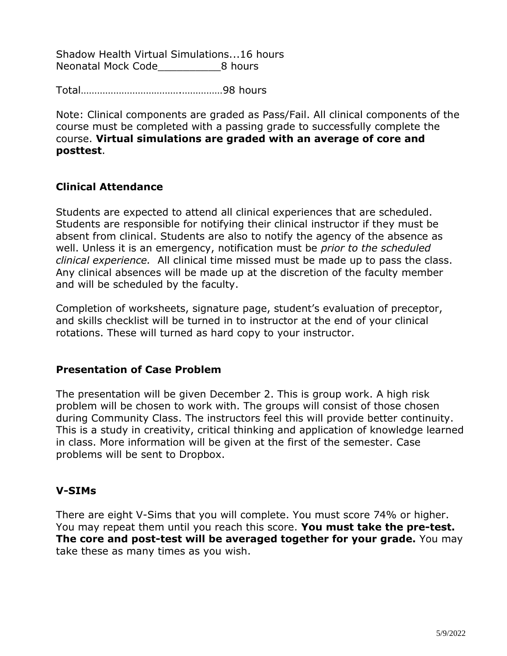Shadow Health Virtual Simulations...16 hours Neonatal Mock Code 8 hours

Total……………………………….……………98 hours

Note: Clinical components are graded as Pass/Fail. All clinical components of the course must be completed with a passing grade to successfully complete the course. **Virtual simulations are graded with an average of core and posttest**.

## **Clinical Attendance**

Students are expected to attend all clinical experiences that are scheduled. Students are responsible for notifying their clinical instructor if they must be absent from clinical. Students are also to notify the agency of the absence as well. Unless it is an emergency, notification must be *prior to the scheduled clinical experience.* All clinical time missed must be made up to pass the class. Any clinical absences will be made up at the discretion of the faculty member and will be scheduled by the faculty.

Completion of worksheets, signature page, student's evaluation of preceptor, and skills checklist will be turned in to instructor at the end of your clinical rotations. These will turned as hard copy to your instructor.

#### **Presentation of Case Problem**

The presentation will be given December 2. This is group work. A high risk problem will be chosen to work with. The groups will consist of those chosen during Community Class. The instructors feel this will provide better continuity. This is a study in creativity, critical thinking and application of knowledge learned in class. More information will be given at the first of the semester. Case problems will be sent to Dropbox.

#### **V-SIMs**

There are eight V-Sims that you will complete. You must score 74% or higher. You may repeat them until you reach this score. **You must take the pre-test. The core and post-test will be averaged together for your grade.** You may take these as many times as you wish.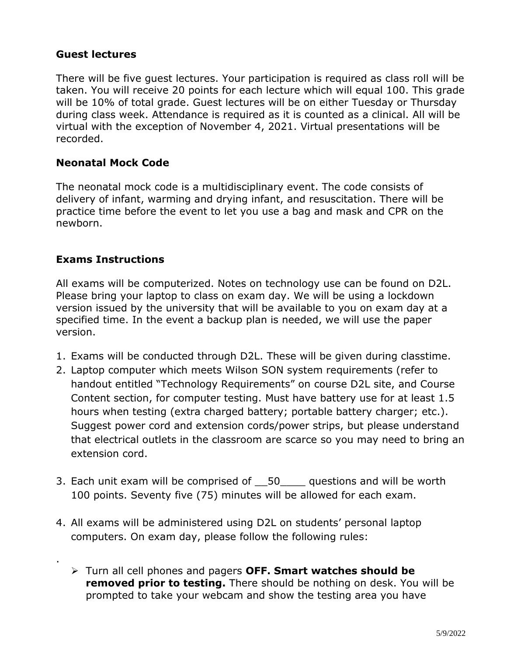## **Guest lectures**

There will be five guest lectures. Your participation is required as class roll will be taken. You will receive 20 points for each lecture which will equal 100. This grade will be 10% of total grade. Guest lectures will be on either Tuesday or Thursday during class week. Attendance is required as it is counted as a clinical. All will be virtual with the exception of November 4, 2021. Virtual presentations will be recorded.

#### **Neonatal Mock Code**

The neonatal mock code is a multidisciplinary event. The code consists of delivery of infant, warming and drying infant, and resuscitation. There will be practice time before the event to let you use a bag and mask and CPR on the newborn.

#### **Exams Instructions**

.

All exams will be computerized. Notes on technology use can be found on D2L. Please bring your laptop to class on exam day. We will be using a lockdown version issued by the university that will be available to you on exam day at a specified time. In the event a backup plan is needed, we will use the paper version.

- 1. Exams will be conducted through D2L. These will be given during classtime.
- 2. Laptop computer which meets Wilson SON system requirements (refer to handout entitled "Technology Requirements" on course D2L site, and Course Content section, for computer testing. Must have battery use for at least 1.5 hours when testing (extra charged battery; portable battery charger; etc.). Suggest power cord and extension cords/power strips, but please understand that electrical outlets in the classroom are scarce so you may need to bring an extension cord.
- 3. Each unit exam will be comprised of  $\overline{50}$  questions and will be worth 100 points. Seventy five (75) minutes will be allowed for each exam.
- 4. All exams will be administered using D2L on students' personal laptop computers. On exam day, please follow the following rules:
	- Turn all cell phones and pagers **OFF. Smart watches should be removed prior to testing.** There should be nothing on desk. You will be prompted to take your webcam and show the testing area you have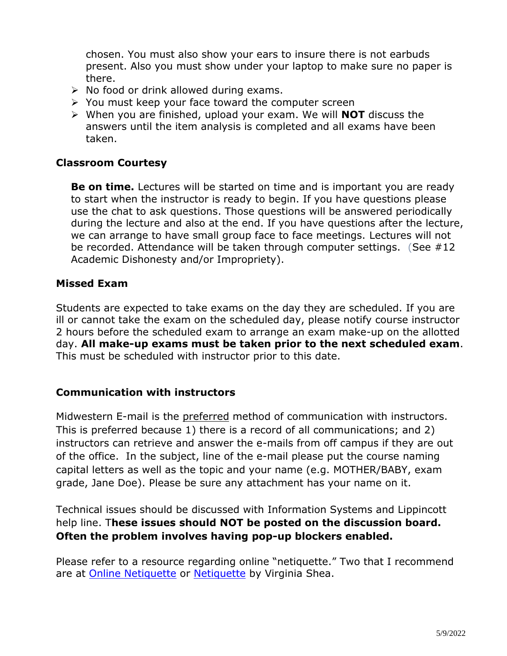chosen. You must also show your ears to insure there is not earbuds present. Also you must show under your laptop to make sure no paper is there.

- $\triangleright$  No food or drink allowed during exams.
- $\triangleright$  You must keep your face toward the computer screen
- When you are finished, upload your exam. We will **NOT** discuss the answers until the item analysis is completed and all exams have been taken.

#### **Classroom Courtesy**

**Be on time.** Lectures will be started on time and is important you are ready to start when the instructor is ready to begin. If you have questions please use the chat to ask questions. Those questions will be answered periodically during the lecture and also at the end. If you have questions after the lecture, we can arrange to have small group face to face meetings. Lectures will not be recorded. Attendance will be taken through computer settings. (See #12 Academic Dishonesty and/or Impropriety).

#### **Missed Exam**

Students are expected to take exams on the day they are scheduled. If you are ill or cannot take the exam on the scheduled day, please notify course instructor 2 hours before the scheduled exam to arrange an exam make-up on the allotted day. **All make-up exams must be taken prior to the next scheduled exam**. This must be scheduled with instructor prior to this date.

#### **Communication with instructors**

Midwestern E-mail is the preferred method of communication with instructors. This is preferred because 1) there is a record of all communications; and 2) instructors can retrieve and answer the e-mails from off campus if they are out of the office. In the subject, line of the e-mail please put the course naming capital letters as well as the topic and your name (e.g. MOTHER/BABY, exam grade, Jane Doe). Please be sure any attachment has your name on it.

Technical issues should be discussed with Information Systems and Lippincott help line. T**hese issues should NOT be posted on the discussion board. Often the problem involves having pop-up blockers enabled.**

Please refer to a resource regarding online "netiquette." Two that I recommend are at [Online Netiquette](http://www.onlinenetiquette.com/) or [Netiquette](http://www.albion.com/netiquette/book) by Virginia Shea.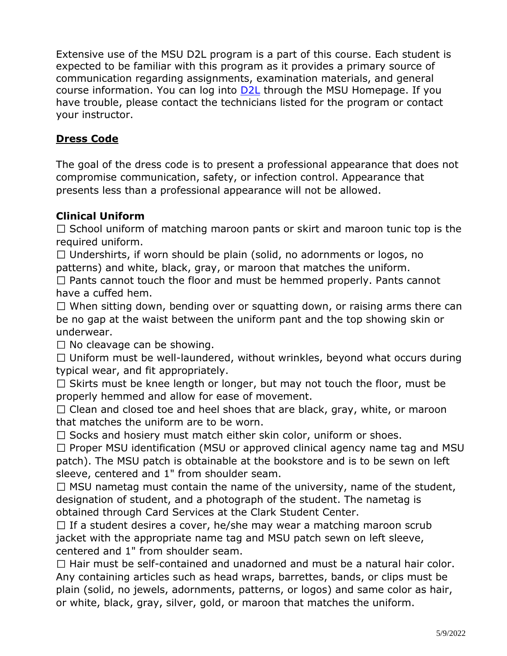Extensive use of the MSU D2L program is a part of this course. Each student is expected to be familiar with this program as it provides a primary source of communication regarding assignments, examination materials, and general course information. You can log into **D2L** through the MSU Homepage. If you have trouble, please contact the technicians listed for the program or contact your instructor.

## **Dress Code**

The goal of the dress code is to present a professional appearance that does not compromise communication, safety, or infection control. Appearance that presents less than a professional appearance will not be allowed.

## **Clinical Uniform**

 $\Box$  School uniform of matching maroon pants or skirt and maroon tunic top is the required uniform.

 $\Box$  Undershirts, if worn should be plain (solid, no adornments or logos, no patterns) and white, black, gray, or maroon that matches the uniform.

 $\Box$  Pants cannot touch the floor and must be hemmed properly. Pants cannot have a cuffed hem.

 $\Box$  When sitting down, bending over or squatting down, or raising arms there can be no gap at the waist between the uniform pant and the top showing skin or underwear.

 $\Box$  No cleavage can be showing.

 $\Box$  Uniform must be well-laundered, without wrinkles, beyond what occurs during typical wear, and fit appropriately.

 $\Box$  Skirts must be knee length or longer, but may not touch the floor, must be properly hemmed and allow for ease of movement.

 $\Box$  Clean and closed toe and heel shoes that are black, gray, white, or maroon that matches the uniform are to be worn.

 $\Box$  Socks and hosiery must match either skin color, uniform or shoes.

 $\Box$  Proper MSU identification (MSU or approved clinical agency name tag and MSU patch). The MSU patch is obtainable at the bookstore and is to be sewn on left sleeve, centered and 1" from shoulder seam.

 $\Box$  MSU nametag must contain the name of the university, name of the student, designation of student, and a photograph of the student. The nametag is obtained through Card Services at the Clark Student Center.

 $\Box$  If a student desires a cover, he/she may wear a matching maroon scrub jacket with the appropriate name tag and MSU patch sewn on left sleeve, centered and 1" from shoulder seam.

 $\Box$  Hair must be self-contained and unadorned and must be a natural hair color. Any containing articles such as head wraps, barrettes, bands, or clips must be plain (solid, no jewels, adornments, patterns, or logos) and same color as hair, or white, black, gray, silver, gold, or maroon that matches the uniform.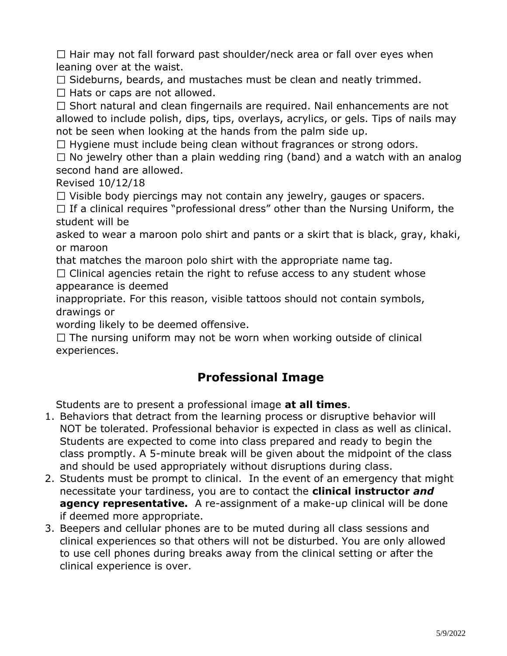$\Box$  Hair may not fall forward past shoulder/neck area or fall over eyes when leaning over at the waist.

 $\Box$  Sideburns, beards, and mustaches must be clean and neatly trimmed.

 $\Box$  Hats or caps are not allowed.

 $\Box$  Short natural and clean fingernails are required. Nail enhancements are not allowed to include polish, dips, tips, overlays, acrylics, or gels. Tips of nails may not be seen when looking at the hands from the palm side up.

 $\Box$  Hygiene must include being clean without fragrances or strong odors.

 $\Box$  No jewelry other than a plain wedding ring (band) and a watch with an analog second hand are allowed.

Revised 10/12/18

 $\Box$  Visible body piercings may not contain any jewelry, gauges or spacers.

 $\Box$  If a clinical requires "professional dress" other than the Nursing Uniform, the student will be

asked to wear a maroon polo shirt and pants or a skirt that is black, gray, khaki, or maroon

that matches the maroon polo shirt with the appropriate name tag.

 $\Box$  Clinical agencies retain the right to refuse access to any student whose appearance is deemed

inappropriate. For this reason, visible tattoos should not contain symbols, drawings or

wording likely to be deemed offensive.

 $\Box$  The nursing uniform may not be worn when working outside of clinical experiences.

# **Professional Image**

Students are to present a professional image **at all times**.

- 1. Behaviors that detract from the learning process or disruptive behavior will NOT be tolerated. Professional behavior is expected in class as well as clinical. Students are expected to come into class prepared and ready to begin the class promptly. A 5-minute break will be given about the midpoint of the class and should be used appropriately without disruptions during class.
- 2. Students must be prompt to clinical. In the event of an emergency that might necessitate your tardiness, you are to contact the **clinical instructor** *and*  **agency representative.** A re-assignment of a make-up clinical will be done if deemed more appropriate.
- 3. Beepers and cellular phones are to be muted during all class sessions and clinical experiences so that others will not be disturbed. You are only allowed to use cell phones during breaks away from the clinical setting or after the clinical experience is over.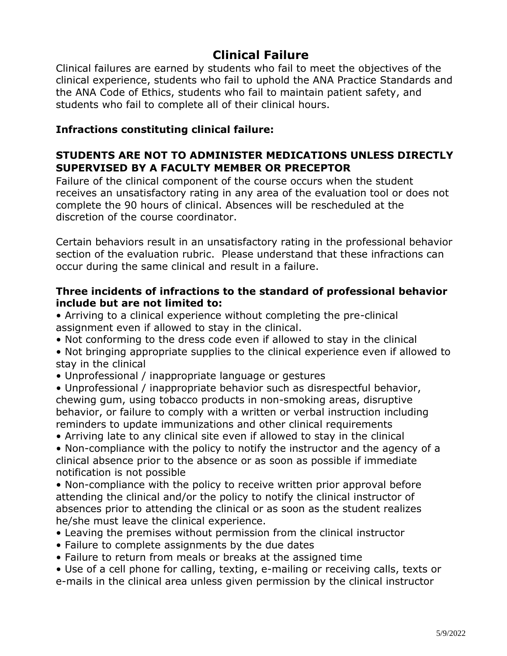# **Clinical Failure**

Clinical failures are earned by students who fail to meet the objectives of the clinical experience, students who fail to uphold the ANA Practice Standards and the ANA Code of Ethics, students who fail to maintain patient safety, and students who fail to complete all of their clinical hours.

#### **Infractions constituting clinical failure:**

## **STUDENTS ARE NOT TO ADMINISTER MEDICATIONS UNLESS DIRECTLY SUPERVISED BY A FACULTY MEMBER OR PRECEPTOR**

Failure of the clinical component of the course occurs when the student receives an unsatisfactory rating in any area of the evaluation tool or does not complete the 90 hours of clinical. Absences will be rescheduled at the discretion of the course coordinator.

Certain behaviors result in an unsatisfactory rating in the professional behavior section of the evaluation rubric. Please understand that these infractions can occur during the same clinical and result in a failure.

#### **Three incidents of infractions to the standard of professional behavior include but are not limited to:**

• Arriving to a clinical experience without completing the pre-clinical assignment even if allowed to stay in the clinical.

• Not conforming to the dress code even if allowed to stay in the clinical

• Not bringing appropriate supplies to the clinical experience even if allowed to stay in the clinical

• Unprofessional / inappropriate language or gestures

• Unprofessional / inappropriate behavior such as disrespectful behavior, chewing gum, using tobacco products in non-smoking areas, disruptive behavior, or failure to comply with a written or verbal instruction including reminders to update immunizations and other clinical requirements

• Arriving late to any clinical site even if allowed to stay in the clinical

• Non-compliance with the policy to notify the instructor and the agency of a clinical absence prior to the absence or as soon as possible if immediate notification is not possible

• Non-compliance with the policy to receive written prior approval before attending the clinical and/or the policy to notify the clinical instructor of absences prior to attending the clinical or as soon as the student realizes he/she must leave the clinical experience.

- Leaving the premises without permission from the clinical instructor
- Failure to complete assignments by the due dates
- Failure to return from meals or breaks at the assigned time

• Use of a cell phone for calling, texting, e-mailing or receiving calls, texts or

e-mails in the clinical area unless given permission by the clinical instructor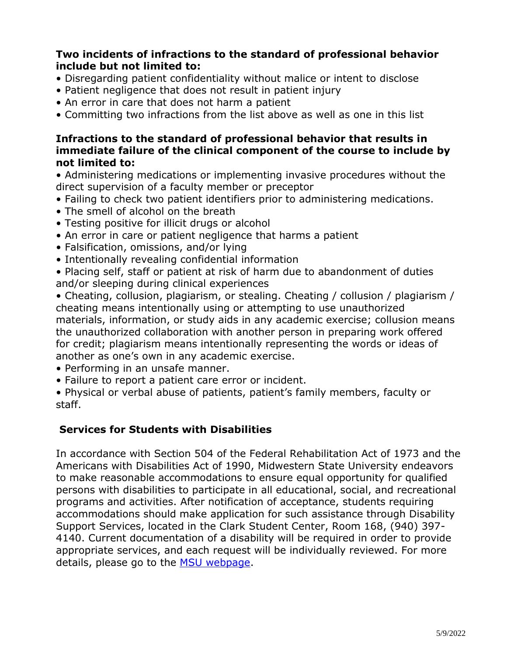#### **Two incidents of infractions to the standard of professional behavior include but not limited to:**

- Disregarding patient confidentiality without malice or intent to disclose
- Patient negligence that does not result in patient injury
- An error in care that does not harm a patient
- Committing two infractions from the list above as well as one in this list

#### **Infractions to the standard of professional behavior that results in immediate failure of the clinical component of the course to include by not limited to:**

• Administering medications or implementing invasive procedures without the direct supervision of a faculty member or preceptor

- Failing to check two patient identifiers prior to administering medications.
- The smell of alcohol on the breath
- Testing positive for illicit drugs or alcohol
- An error in care or patient negligence that harms a patient
- Falsification, omissions, and/or lying
- Intentionally revealing confidential information

• Placing self, staff or patient at risk of harm due to abandonment of duties and/or sleeping during clinical experiences

• Cheating, collusion, plagiarism, or stealing. Cheating / collusion / plagiarism / cheating means intentionally using or attempting to use unauthorized materials, information, or study aids in any academic exercise; collusion means the unauthorized collaboration with another person in preparing work offered for credit; plagiarism means intentionally representing the words or ideas of another as one's own in any academic exercise.

- Performing in an unsafe manner.
- Failure to report a patient care error or incident.

• Physical or verbal abuse of patients, patient's family members, faculty or staff.

## **Services for Students with Disabilities**

In accordance with Section 504 of the Federal Rehabilitation Act of 1973 and the Americans with Disabilities Act of 1990, Midwestern State University endeavors to make reasonable accommodations to ensure equal opportunity for qualified persons with disabilities to participate in all educational, social, and recreational programs and activities. After notification of acceptance, students requiring accommodations should make application for such assistance through Disability Support Services, located in the Clark Student Center, Room 168, (940) 397- 4140. Current documentation of a disability will be required in order to provide appropriate services, and each request will be individually reviewed. For more details, please go to the [MSU webpage.](http://www.mwsu.edu/student-life/disability)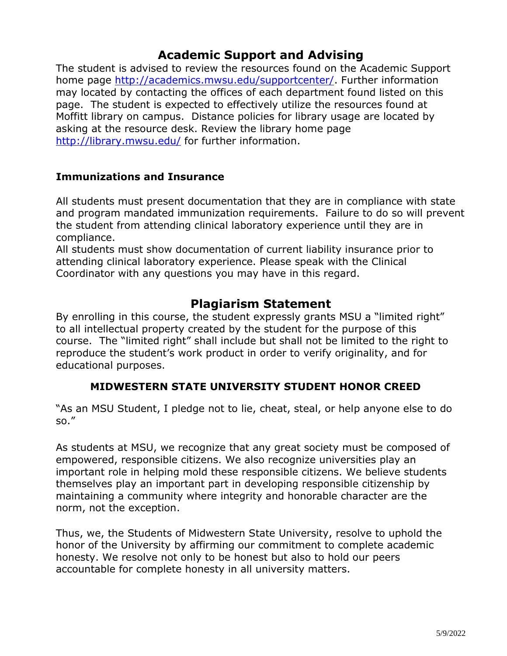## **Academic Support and Advising**

The student is advised to review the resources found on the Academic Support home page http://academics.mwsu.edu/supportcenter/. Further information may located by contacting the offices of each department found listed on this page. The student is expected to effectively utilize the resources found at Moffitt library on campus. Distance policies for library usage are located by asking at the resource desk. Review the library home page http://library.mwsu.edu/ for further information.

## **Immunizations and Insurance**

All students must present documentation that they are in compliance with state and program mandated immunization requirements. Failure to do so will prevent the student from attending clinical laboratory experience until they are in compliance.

All students must show documentation of current liability insurance prior to attending clinical laboratory experience. Please speak with the Clinical Coordinator with any questions you may have in this regard.

## **Plagiarism Statement**

By enrolling in this course, the student expressly grants MSU a "limited right" to all intellectual property created by the student for the purpose of this course. The "limited right" shall include but shall not be limited to the right to reproduce the student's work product in order to verify originality, and for educational purposes.

## **MIDWESTERN STATE UNIVERSITY STUDENT HONOR CREED**

"As an MSU Student, I pledge not to lie, cheat, steal, or help anyone else to do so."

As students at MSU, we recognize that any great society must be composed of empowered, responsible citizens. We also recognize universities play an important role in helping mold these responsible citizens. We believe students themselves play an important part in developing responsible citizenship by maintaining a community where integrity and honorable character are the norm, not the exception.

Thus, we, the Students of Midwestern State University, resolve to uphold the honor of the University by affirming our commitment to complete academic honesty. We resolve not only to be honest but also to hold our peers accountable for complete honesty in all university matters.